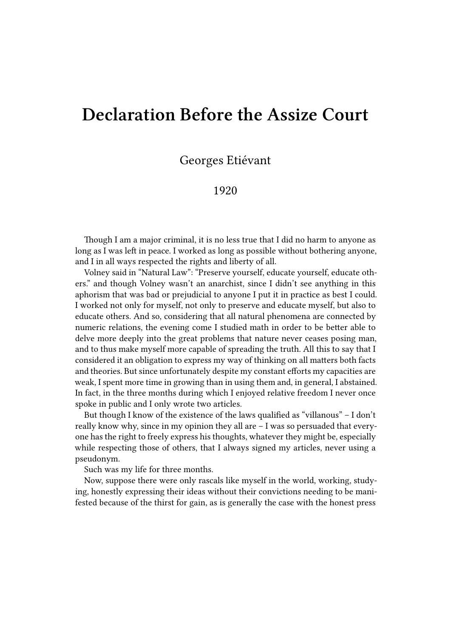## **Declaration Before the Assize Court**

Georges Etiévant

## 1920

Though I am a major criminal, it is no less true that I did no harm to anyone as long as I was left in peace. I worked as long as possible without bothering anyone, and I in all ways respected the rights and liberty of all.

Volney said in "Natural Law": "Preserve yourself, educate yourself, educate others." and though Volney wasn't an anarchist, since I didn't see anything in this aphorism that was bad or prejudicial to anyone I put it in practice as best I could. I worked not only for myself, not only to preserve and educate myself, but also to educate others. And so, considering that all natural phenomena are connected by numeric relations, the evening come I studied math in order to be better able to delve more deeply into the great problems that nature never ceases posing man, and to thus make myself more capable of spreading the truth. All this to say that I considered it an obligation to express my way of thinking on all matters both facts and theories. But since unfortunately despite my constant efforts my capacities are weak, I spent more time in growing than in using them and, in general, I abstained. In fact, in the three months during which I enjoyed relative freedom I never once spoke in public and I only wrote two articles.

But though I know of the existence of the laws qualified as "villanous" – I don't really know why, since in my opinion they all are – I was so persuaded that everyone has the right to freely express his thoughts, whatever they might be, especially while respecting those of others, that I always signed my articles, never using a pseudonym.

Such was my life for three months.

Now, suppose there were only rascals like myself in the world, working, studying, honestly expressing their ideas without their convictions needing to be manifested because of the thirst for gain, as is generally the case with the honest press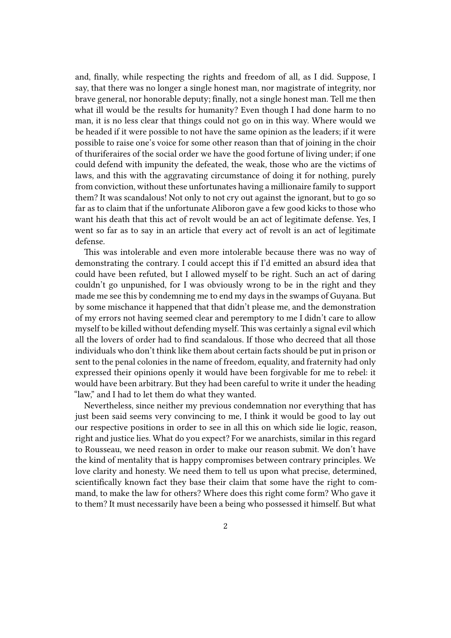and, finally, while respecting the rights and freedom of all, as I did. Suppose, I say, that there was no longer a single honest man, nor magistrate of integrity, nor brave general, nor honorable deputy; finally, not a single honest man. Tell me then what ill would be the results for humanity? Even though I had done harm to no man, it is no less clear that things could not go on in this way. Where would we be headed if it were possible to not have the same opinion as the leaders; if it were possible to raise one's voice for some other reason than that of joining in the choir of thuriferaires of the social order we have the good fortune of living under; if one could defend with impunity the defeated, the weak, those who are the victims of laws, and this with the aggravating circumstance of doing it for nothing, purely from conviction, without these unfortunates having a millionaire family to support them? It was scandalous! Not only to not cry out against the ignorant, but to go so far as to claim that if the unfortunate Aliboron gave a few good kicks to those who want his death that this act of revolt would be an act of legitimate defense. Yes, I went so far as to say in an article that every act of revolt is an act of legitimate defense.

This was intolerable and even more intolerable because there was no way of demonstrating the contrary. I could accept this if I'd emitted an absurd idea that could have been refuted, but I allowed myself to be right. Such an act of daring couldn't go unpunished, for I was obviously wrong to be in the right and they made me see this by condemning me to end my days in the swamps of Guyana. But by some mischance it happened that that didn't please me, and the demonstration of my errors not having seemed clear and peremptory to me I didn't care to allow myself to be killed without defending myself. This was certainly a signal evil which all the lovers of order had to find scandalous**.** If those who decreed that all those individuals who don't think like them about certain facts should be put in prison or sent to the penal colonies in the name of freedom, equality, and fraternity had only expressed their opinions openly it would have been forgivable for me to rebel: it would have been arbitrary. But they had been careful to write it under the heading "law," and I had to let them do what they wanted.

Nevertheless, since neither my previous condemnation nor everything that has just been said seems very convincing to me, I think it would be good to lay out our respective positions in order to see in all this on which side lie logic, reason, right and justice lies. What do you expect? For we anarchists, similar in this regard to Rousseau, we need reason in order to make our reason submit. We don't have the kind of mentality that is happy compromises between contrary principles. We love clarity and honesty. We need them to tell us upon what precise, determined, scientifically known fact they base their claim that some have the right to command, to make the law for others? Where does this right come form? Who gave it to them? It must necessarily have been a being who possessed it himself. But what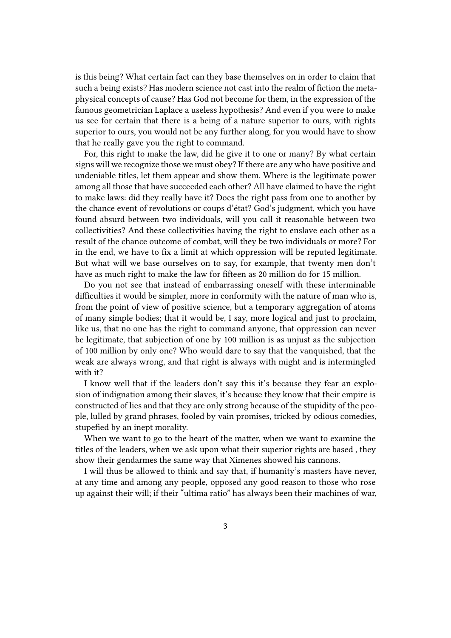is this being? What certain fact can they base themselves on in order to claim that such a being exists? Has modern science not cast into the realm of fiction the metaphysical concepts of cause? Has God not become for them, in the expression of the famous geometrician Laplace a useless hypothesis? And even if you were to make us see for certain that there is a being of a nature superior to ours, with rights superior to ours, you would not be any further along, for you would have to show that he really gave you the right to command.

For, this right to make the law, did he give it to one or many? By what certain signs will we recognize those we must obey? If there are any who have positive and undeniable titles, let them appear and show them. Where is the legitimate power among all those that have succeeded each other? All have claimed to have the right to make laws: did they really have it? Does the right pass from one to another by the chance event of revolutions or coups d'état? God's judgment, which you have found absurd between two individuals, will you call it reasonable between two collectivities? And these collectivities having the right to enslave each other as a result of the chance outcome of combat, will they be two individuals or more? For in the end, we have to fix a limit at which oppression will be reputed legitimate. But what will we base ourselves on to say, for example, that twenty men don't have as much right to make the law for fifteen as 20 million do for 15 million.

Do you not see that instead of embarrassing oneself with these interminable difficulties it would be simpler, more in conformity with the nature of man who is, from the point of view of positive science, but a temporary aggregation of atoms of many simple bodies; that it would be, I say, more logical and just to proclaim, like us, that no one has the right to command anyone, that oppression can never be legitimate, that subjection of one by 100 million is as unjust as the subjection of 100 million by only one? Who would dare to say that the vanquished, that the weak are always wrong, and that right is always with might and is intermingled with it?

I know well that if the leaders don't say this it's because they fear an explosion of indignation among their slaves, it's because they know that their empire is constructed of lies and that they are only strong because of the stupidity of the people, lulled by grand phrases, fooled by vain promises, tricked by odious comedies, stupefied by an inept morality.

When we want to go to the heart of the matter, when we want to examine the titles of the leaders, when we ask upon what their superior rights are based , they show their gendarmes the same way that Ximenes showed his cannons.

I will thus be allowed to think and say that, if humanity's masters have never, at any time and among any people, opposed any good reason to those who rose up against their will; if their "ultima ratio" has always been their machines of war,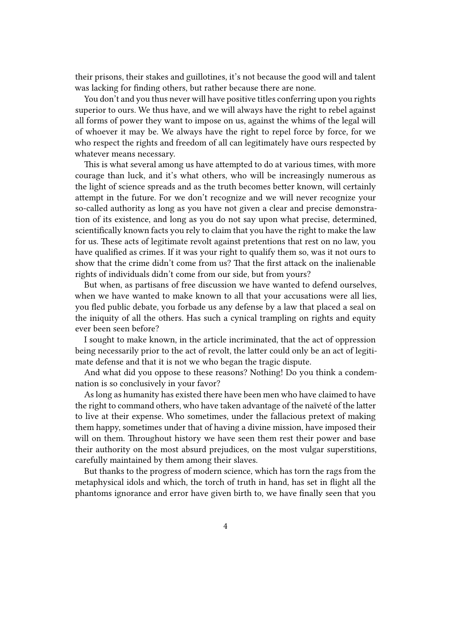their prisons, their stakes and guillotines, it's not because the good will and talent was lacking for finding others, but rather because there are none.

You don't and you thus never will have positive titles conferring upon you rights superior to ours. We thus have, and we will always have the right to rebel against all forms of power they want to impose on us, against the whims of the legal will of whoever it may be. We always have the right to repel force by force, for we who respect the rights and freedom of all can legitimately have ours respected by whatever means necessary.

This is what several among us have attempted to do at various times, with more courage than luck, and it's what others, who will be increasingly numerous as the light of science spreads and as the truth becomes better known, will certainly attempt in the future. For we don't recognize and we will never recognize your so-called authority as long as you have not given a clear and precise demonstration of its existence, and long as you do not say upon what precise, determined, scientifically known facts you rely to claim that you have the right to make the law for us. These acts of legitimate revolt against pretentions that rest on no law, you have qualified as crimes. If it was your right to qualify them so, was it not ours to show that the crime didn't come from us? That the first attack on the inalienable rights of individuals didn't come from our side, but from yours?

But when, as partisans of free discussion we have wanted to defend ourselves, when we have wanted to make known to all that your accusations were all lies, you fled public debate, you forbade us any defense by a law that placed a seal on the iniquity of all the others. Has such a cynical trampling on rights and equity ever been seen before?

I sought to make known, in the article incriminated, that the act of oppression being necessarily prior to the act of revolt, the latter could only be an act of legitimate defense and that it is not we who began the tragic dispute.

And what did you oppose to these reasons? Nothing! Do you think a condemnation is so conclusively in your favor?

As long as humanity has existed there have been men who have claimed to have the right to command others, who have taken advantage of the naïveté of the latter to live at their expense. Who sometimes, under the fallacious pretext of making them happy, sometimes under that of having a divine mission, have imposed their will on them. Throughout history we have seen them rest their power and base their authority on the most absurd prejudices, on the most vulgar superstitions, carefully maintained by them among their slaves.

But thanks to the progress of modern science, which has torn the rags from the metaphysical idols and which, the torch of truth in hand, has set in flight all the phantoms ignorance and error have given birth to, we have finally seen that you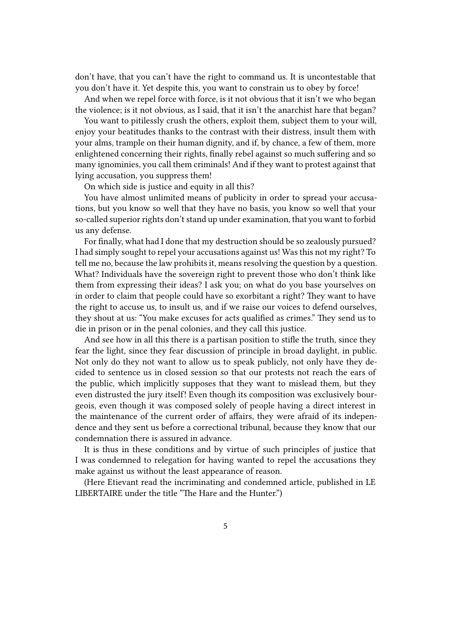don't have, that you can't have the right to command us. It is uncontestable that you don't have it. Yet despite this, you want to constrain us to obey by force!

And when we repel force with force, is it not obvious that it isn't we who began the violence; is it not obvious, as I said, that it isn't the anarchist hare that began?

You want to pitilessly crush the others, exploit them, subject them to your will, enjoy your beatitudes thanks to the contrast with their distress, insult them with your alms, trample on their human dignity, and if, by chance, a few of them, more enlightened concerning their rights, finally rebel against so much suffering and so many ignominies, you call them criminals! And if they want to protest against that lying accusation, you suppress them!

On which side is justice and equity in all this?

You have almost unlimited means of publicity in order to spread your accusations, but you know so well that they have no basis, you know so well that your so-called superior rights don't stand up under examination, that you want to forbid us any defense.

For finally, what had I done that my destruction should be so zealously pursued? I had simply sought to repel your accusations against us! Was this not my right? To tell me no, because the law prohibits it, means resolving the question by a question. What? Individuals have the sovereign right to prevent those who don't think like them from expressing their ideas? I ask you; on what do you base yourselves on in order to claim that people could have so exorbitant a right? They want to have the right to accuse us, to insult us, and if we raise our voices to defend ourselves, they shout at us: "You make excuses for acts qualified as crimes." They send us to die in prison or in the penal colonies, and they call this justice.

And see how in all this there is a partisan position to stifle the truth, since they fear the light, since they fear discussion of principle in broad daylight, in public. Not only do they not want to allow us to speak publicly, not only have they decided to sentence us in closed session so that our protests not reach the ears of the public, which implicitly supposes that they want to mislead them, but they even distrusted the jury itself! Even though its composition was exclusively bourgeois, even though it was composed solely of people having a direct interest in the maintenance of the current order of affairs, they were afraid of its independence and they sent us before a correctional tribunal, because they know that our condemnation there is assured in advance.

It is thus in these conditions and by virtue of such principles of justice that I was condemned to relegation for having wanted to repel the accusations they make against us without the least appearance of reason.

(Here Etievant read the incriminating and condemned article, published in LE LIBERTAIRE under the title "The Hare and the Hunter.")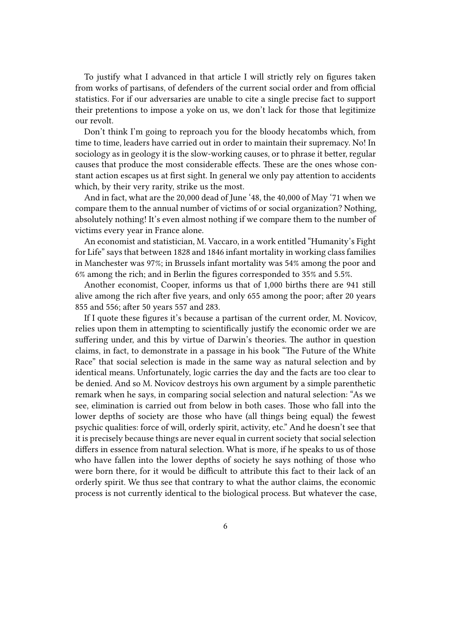To justify what I advanced in that article I will strictly rely on figures taken from works of partisans, of defenders of the current social order and from official statistics. For if our adversaries are unable to cite a single precise fact to support their pretentions to impose a yoke on us, we don't lack for those that legitimize our revolt.

Don't think I'm going to reproach you for the bloody hecatombs which, from time to time, leaders have carried out in order to maintain their supremacy. No! In sociology as in geology it is the slow-working causes, or to phrase it better, regular causes that produce the most considerable effects. These are the ones whose constant action escapes us at first sight. In general we only pay attention to accidents which, by their very rarity, strike us the most.

And in fact, what are the 20,000 dead of June '48, the 40,000 of May '71 when we compare them to the annual number of victims of or social organization? Nothing, absolutely nothing! It's even almost nothing if we compare them to the number of victims every year in France alone.

An economist and statistician, M. Vaccaro, in a work entitled "Humanity's Fight for Life" says that between 1828 and 1846 infant mortality in working class families in Manchester was 97%; in Brussels infant mortality was 54% among the poor and 6% among the rich; and in Berlin the figures corresponded to 35% and 5.5%.

Another economist, Cooper, informs us that of 1,000 births there are 941 still alive among the rich after five years, and only 655 among the poor; after 20 years 855 and 556; after 50 years 557 and 283.

If I quote these figures it's because a partisan of the current order, M. Novicov, relies upon them in attempting to scientifically justify the economic order we are suffering under, and this by virtue of Darwin's theories. The author in question claims, in fact, to demonstrate in a passage in his book "The Future of the White Race" that social selection is made in the same way as natural selection and by identical means. Unfortunately, logic carries the day and the facts are too clear to be denied. And so M. Novicov destroys his own argument by a simple parenthetic remark when he says, in comparing social selection and natural selection: "As we see, elimination is carried out from below in both cases. Those who fall into the lower depths of society are those who have (all things being equal) the fewest psychic qualities: force of will, orderly spirit, activity, etc." And he doesn't see that it is precisely because things are never equal in current society that social selection differs in essence from natural selection. What is more, if he speaks to us of those who have fallen into the lower depths of society he says nothing of those who were born there, for it would be difficult to attribute this fact to their lack of an orderly spirit. We thus see that contrary to what the author claims, the economic process is not currently identical to the biological process. But whatever the case,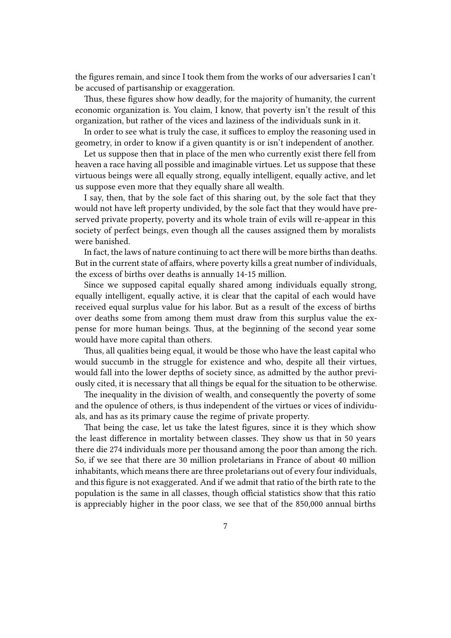the figures remain, and since I took them from the works of our adversaries I can't be accused of partisanship or exaggeration.

Thus, these figures show how deadly, for the majority of humanity, the current economic organization is. You claim, I know, that poverty isn't the result of this organization, but rather of the vices and laziness of the individuals sunk in it.

In order to see what is truly the case, it suffices to employ the reasoning used in geometry, in order to know if a given quantity is or isn't independent of another.

Let us suppose then that in place of the men who currently exist there fell from heaven a race having all possible and imaginable virtues. Let us suppose that these virtuous beings were all equally strong, equally intelligent, equally active, and let us suppose even more that they equally share all wealth.

I say, then, that by the sole fact of this sharing out, by the sole fact that they would not have left property undivided, by the sole fact that they would have preserved private property, poverty and its whole train of evils will re-appear in this society of perfect beings, even though all the causes assigned them by moralists were banished.

In fact, the laws of nature continuing to act there will be more births than deaths. But in the current state of affairs, where poverty kills a great number of individuals, the excess of births over deaths is annually 14-15 million.

Since we supposed capital equally shared among individuals equally strong, equally intelligent, equally active, it is clear that the capital of each would have received equal surplus value for his labor. But as a result of the excess of births over deaths some from among them must draw from this surplus value the expense for more human beings. Thus, at the beginning of the second year some would have more capital than others.

Thus, all qualities being equal, it would be those who have the least capital who would succumb in the struggle for existence and who, despite all their virtues, would fall into the lower depths of society since, as admitted by the author previously cited, it is necessary that all things be equal for the situation to be otherwise.

The inequality in the division of wealth, and consequently the poverty of some and the opulence of others, is thus independent of the virtues or vices of individuals, and has as its primary cause the regime of private property.

That being the case, let us take the latest figures, since it is they which show the least difference in mortality between classes. They show us that in 50 years there die 274 individuals more per thousand among the poor than among the rich. So, if we see that there are 30 million proletarians in France of about 40 million inhabitants, which means there are three proletarians out of every four individuals, and this figure is not exaggerated. And if we admit that ratio of the birth rate to the population is the same in all classes, though official statistics show that this ratio is appreciably higher in the poor class, we see that of the 850,000 annual births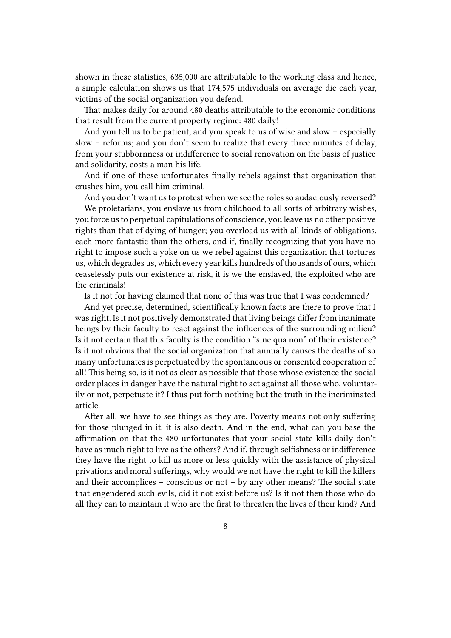shown in these statistics, 635,000 are attributable to the working class and hence, a simple calculation shows us that 174,575 individuals on average die each year, victims of the social organization you defend.

That makes daily for around 480 deaths attributable to the economic conditions that result from the current property regime: 480 daily!

And you tell us to be patient, and you speak to us of wise and slow – especially slow – reforms; and you don't seem to realize that every three minutes of delay, from your stubbornness or indifference to social renovation on the basis of justice and solidarity, costs a man his life.

And if one of these unfortunates finally rebels against that organization that crushes him, you call him criminal.

And you don't want us to protest when we see the roles so audaciously reversed?

We proletarians, you enslave us from childhood to all sorts of arbitrary wishes, you force us to perpetual capitulations of conscience, you leave us no other positive rights than that of dying of hunger; you overload us with all kinds of obligations, each more fantastic than the others, and if, finally recognizing that you have no right to impose such a yoke on us we rebel against this organization that tortures us, which degrades us, which every year kills hundreds of thousands of ours, which ceaselessly puts our existence at risk, it is we the enslaved, the exploited who are the criminals!

Is it not for having claimed that none of this was true that I was condemned?

And yet precise, determined, scientifically known facts are there to prove that I was right. Is it not positively demonstrated that living beings differ from inanimate beings by their faculty to react against the influences of the surrounding milieu? Is it not certain that this faculty is the condition "sine qua non" of their existence? Is it not obvious that the social organization that annually causes the deaths of so many unfortunates is perpetuated by the spontaneous or consented cooperation of all! This being so, is it not as clear as possible that those whose existence the social order places in danger have the natural right to act against all those who, voluntarily or not, perpetuate it? I thus put forth nothing but the truth in the incriminated article.

After all, we have to see things as they are. Poverty means not only suffering for those plunged in it, it is also death. And in the end, what can you base the affirmation on that the 480 unfortunates that your social state kills daily don't have as much right to live as the others? And if, through selfishness or indifference they have the right to kill us more or less quickly with the assistance of physical privations and moral sufferings, why would we not have the right to kill the killers and their accomplices – conscious or not – by any other means? The social state that engendered such evils, did it not exist before us? Is it not then those who do all they can to maintain it who are the first to threaten the lives of their kind? And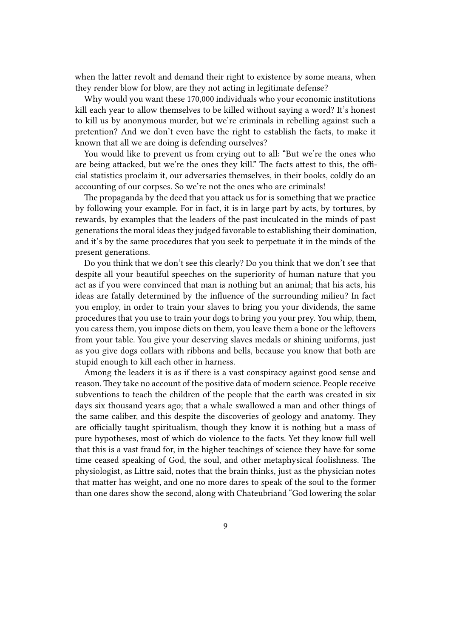when the latter revolt and demand their right to existence by some means, when they render blow for blow, are they not acting in legitimate defense?

Why would you want these 170,000 individuals who your economic institutions kill each year to allow themselves to be killed without saying a word? It's honest to kill us by anonymous murder, but we're criminals in rebelling against such a pretention? And we don't even have the right to establish the facts, to make it known that all we are doing is defending ourselves?

You would like to prevent us from crying out to all: "But we're the ones who are being attacked, but we're the ones they kill." The facts attest to this, the official statistics proclaim it, our adversaries themselves, in their books, coldly do an accounting of our corpses. So we're not the ones who are criminals!

The propaganda by the deed that you attack us for is something that we practice by following your example. For in fact, it is in large part by acts, by tortures, by rewards, by examples that the leaders of the past inculcated in the minds of past generations the moral ideas they judged favorable to establishing their domination, and it's by the same procedures that you seek to perpetuate it in the minds of the present generations.

Do you think that we don't see this clearly? Do you think that we don't see that despite all your beautiful speeches on the superiority of human nature that you act as if you were convinced that man is nothing but an animal; that his acts, his ideas are fatally determined by the influence of the surrounding milieu? In fact you employ, in order to train your slaves to bring you your dividends, the same procedures that you use to train your dogs to bring you your prey. You whip, them, you caress them, you impose diets on them, you leave them a bone or the leftovers from your table. You give your deserving slaves medals or shining uniforms, just as you give dogs collars with ribbons and bells, because you know that both are stupid enough to kill each other in harness.

Among the leaders it is as if there is a vast conspiracy against good sense and reason. They take no account of the positive data of modern science. People receive subventions to teach the children of the people that the earth was created in six days six thousand years ago; that a whale swallowed a man and other things of the same caliber, and this despite the discoveries of geology and anatomy. They are officially taught spiritualism, though they know it is nothing but a mass of pure hypotheses, most of which do violence to the facts. Yet they know full well that this is a vast fraud for, in the higher teachings of science they have for some time ceased speaking of God, the soul, and other metaphysical foolishness. The physiologist, as Littre said, notes that the brain thinks, just as the physician notes that matter has weight, and one no more dares to speak of the soul to the former than one dares show the second, along with Chateubriand "God lowering the solar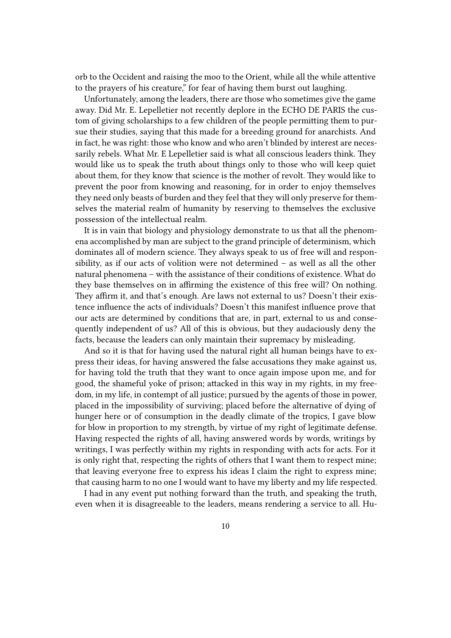orb to the Occident and raising the moo to the Orient, while all the while attentive to the prayers of his creature," for fear of having them burst out laughing.

Unfortunately, among the leaders, there are those who sometimes give the game away. Did Mr. E. Lepelletier not recently deplore in the ECHO DE PARIS the custom of giving scholarships to a few children of the people permitting them to pursue their studies, saying that this made for a breeding ground for anarchists. And in fact, he was right: those who know and who aren't blinded by interest are necessarily rebels. What Mr. E Lepelletier said is what all conscious leaders think. They would like us to speak the truth about things only to those who will keep quiet about them, for they know that science is the mother of revolt. They would like to prevent the poor from knowing and reasoning, for in order to enjoy themselves they need only beasts of burden and they feel that they will only preserve for themselves the material realm of humanity by reserving to themselves the exclusive possession of the intellectual realm.

It is in vain that biology and physiology demonstrate to us that all the phenomena accomplished by man are subject to the grand principle of determinism, which dominates all of modern science. They always speak to us of free will and responsibility, as if our acts of volition were not determined – as well as all the other natural phenomena – with the assistance of their conditions of existence. What do they base themselves on in affirming the existence of this free will? On nothing. They affirm it, and that's enough. Are laws not external to us? Doesn't their existence influence the acts of individuals? Doesn't this manifest influence prove that our acts are determined by conditions that are, in part, external to us and consequently independent of us? All of this is obvious, but they audaciously deny the facts, because the leaders can only maintain their supremacy by misleading.

And so it is that for having used the natural right all human beings have to express their ideas, for having answered the false accusations they make against us, for having told the truth that they want to once again impose upon me, and for good, the shameful yoke of prison; attacked in this way in my rights, in my freedom, in my life, in contempt of all justice; pursued by the agents of those in power, placed in the impossibility of surviving; placed before the alternative of dying of hunger here or of consumption in the deadly climate of the tropics, I gave blow for blow in proportion to my strength, by virtue of my right of legitimate defense. Having respected the rights of all, having answered words by words, writings by writings, I was perfectly within my rights in responding with acts for acts. For it is only right that, respecting the rights of others that I want them to respect mine; that leaving everyone free to express his ideas I claim the right to express mine; that causing harm to no one I would want to have my liberty and my life respected.

I had in any event put nothing forward than the truth, and speaking the truth, even when it is disagreeable to the leaders, means rendering a service to all. Hu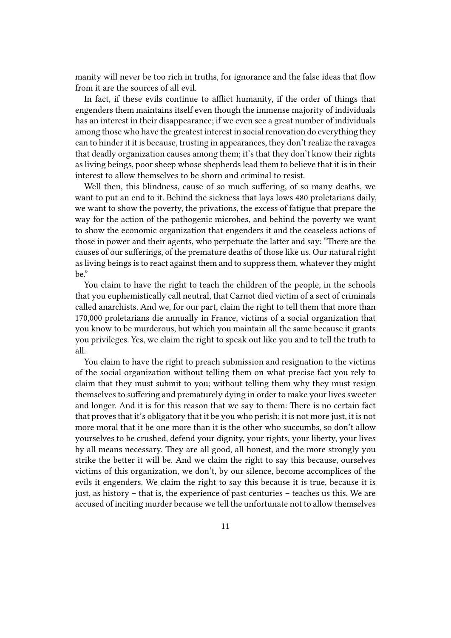manity will never be too rich in truths, for ignorance and the false ideas that flow from it are the sources of all evil.

In fact, if these evils continue to afflict humanity, if the order of things that engenders them maintains itself even though the immense majority of individuals has an interest in their disappearance; if we even see a great number of individuals among those who have the greatest interest in social renovation do everything they can to hinder it it is because, trusting in appearances, they don't realize the ravages that deadly organization causes among them; it's that they don't know their rights as living beings, poor sheep whose shepherds lead them to believe that it is in their interest to allow themselves to be shorn and criminal to resist.

Well then, this blindness, cause of so much suffering, of so many deaths, we want to put an end to it. Behind the sickness that lays lows 480 proletarians daily, we want to show the poverty, the privations, the excess of fatigue that prepare the way for the action of the pathogenic microbes, and behind the poverty we want to show the economic organization that engenders it and the ceaseless actions of those in power and their agents, who perpetuate the latter and say: "There are the causes of our sufferings, of the premature deaths of those like us. Our natural right as living beings is to react against them and to suppress them, whatever they might be."

You claim to have the right to teach the children of the people, in the schools that you euphemistically call neutral, that Carnot died victim of a sect of criminals called anarchists. And we, for our part, claim the right to tell them that more than 170,000 proletarians die annually in France, victims of a social organization that you know to be murderous, but which you maintain all the same because it grants you privileges. Yes, we claim the right to speak out like you and to tell the truth to all.

You claim to have the right to preach submission and resignation to the victims of the social organization without telling them on what precise fact you rely to claim that they must submit to you; without telling them why they must resign themselves to suffering and prematurely dying in order to make your lives sweeter and longer. And it is for this reason that we say to them: There is no certain fact that proves that it's obligatory that it be you who perish; it is not more just, it is not more moral that it be one more than it is the other who succumbs, so don't allow yourselves to be crushed, defend your dignity, your rights, your liberty, your lives by all means necessary. They are all good, all honest, and the more strongly you strike the better it will be. And we claim the right to say this because, ourselves victims of this organization, we don't, by our silence, become accomplices of the evils it engenders. We claim the right to say this because it is true, because it is just, as history – that is, the experience of past centuries – teaches us this. We are accused of inciting murder because we tell the unfortunate not to allow themselves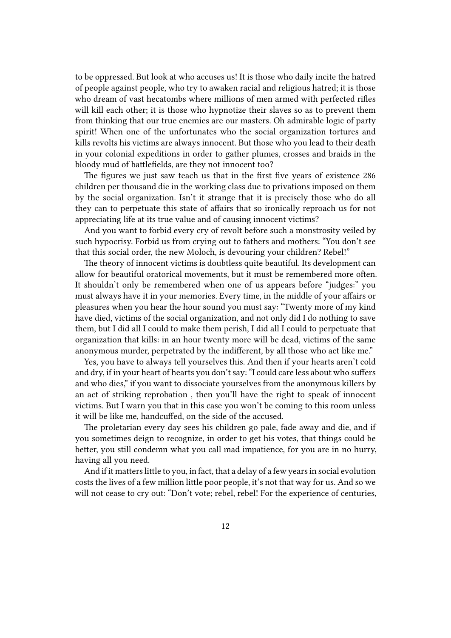to be oppressed. But look at who accuses us! It is those who daily incite the hatred of people against people, who try to awaken racial and religious hatred; it is those who dream of vast hecatombs where millions of men armed with perfected rifles will kill each other; it is those who hypnotize their slaves so as to prevent them from thinking that our true enemies are our masters. Oh admirable logic of party spirit! When one of the unfortunates who the social organization tortures and kills revolts his victims are always innocent. But those who you lead to their death in your colonial expeditions in order to gather plumes, crosses and braids in the bloody mud of battlefields, are they not innocent too?

The figures we just saw teach us that in the first five years of existence 286 children per thousand die in the working class due to privations imposed on them by the social organization. Isn't it strange that it is precisely those who do all they can to perpetuate this state of affairs that so ironically reproach us for not appreciating life at its true value and of causing innocent victims?

And you want to forbid every cry of revolt before such a monstrosity veiled by such hypocrisy. Forbid us from crying out to fathers and mothers: "You don't see that this social order, the new Moloch, is devouring your children? Rebel!"

The theory of innocent victims is doubtless quite beautiful. Its development can allow for beautiful oratorical movements, but it must be remembered more often. It shouldn't only be remembered when one of us appears before "judges:" you must always have it in your memories. Every time, in the middle of your affairs or pleasures when you hear the hour sound you must say: "Twenty more of my kind have died, victims of the social organization, and not only did I do nothing to save them, but I did all I could to make them perish, I did all I could to perpetuate that organization that kills: in an hour twenty more will be dead, victims of the same anonymous murder, perpetrated by the indifferent, by all those who act like me."

Yes, you have to always tell yourselves this. And then if your hearts aren't cold and dry, if in your heart of hearts you don't say: "I could care less about who suffers and who dies," if you want to dissociate yourselves from the anonymous killers by an act of striking reprobation , then you'll have the right to speak of innocent victims. But I warn you that in this case you won't be coming to this room unless it will be like me, handcuffed, on the side of the accused.

The proletarian every day sees his children go pale, fade away and die, and if you sometimes deign to recognize, in order to get his votes, that things could be better, you still condemn what you call mad impatience, for you are in no hurry, having all you need.

And if it matters little to you, in fact, that a delay of a few years in social evolution costs the lives of a few million little poor people, it's not that way for us. And so we will not cease to cry out: "Don't vote; rebel, rebel! For the experience of centuries,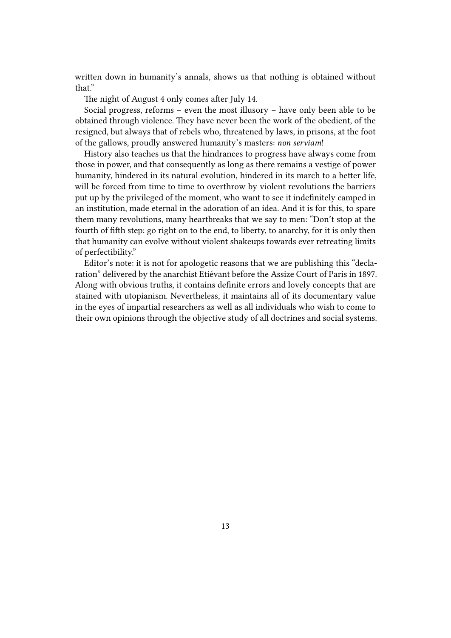written down in humanity's annals, shows us that nothing is obtained without that."

The night of August 4 only comes after July 14.

Social progress, reforms – even the most illusory – have only been able to be obtained through violence. They have never been the work of the obedient, of the resigned, but always that of rebels who, threatened by laws, in prisons, at the foot of the gallows, proudly answered humanity's masters: *non serviam*!

History also teaches us that the hindrances to progress have always come from those in power, and that consequently as long as there remains a vestige of power humanity, hindered in its natural evolution, hindered in its march to a better life, will be forced from time to time to overthrow by violent revolutions the barriers put up by the privileged of the moment, who want to see it indefinitely camped in an institution, made eternal in the adoration of an idea. And it is for this, to spare them many revolutions, many heartbreaks that we say to men: "Don't stop at the fourth of fifth step: go right on to the end, to liberty, to anarchy, for it is only then that humanity can evolve without violent shakeups towards ever retreating limits of perfectibility."

Editor's note: it is not for apologetic reasons that we are publishing this "declaration" delivered by the anarchist Etiévant before the Assize Court of Paris in 1897. Along with obvious truths, it contains definite errors and lovely concepts that are stained with utopianism. Nevertheless, it maintains all of its documentary value in the eyes of impartial researchers as well as all individuals who wish to come to their own opinions through the objective study of all doctrines and social systems.